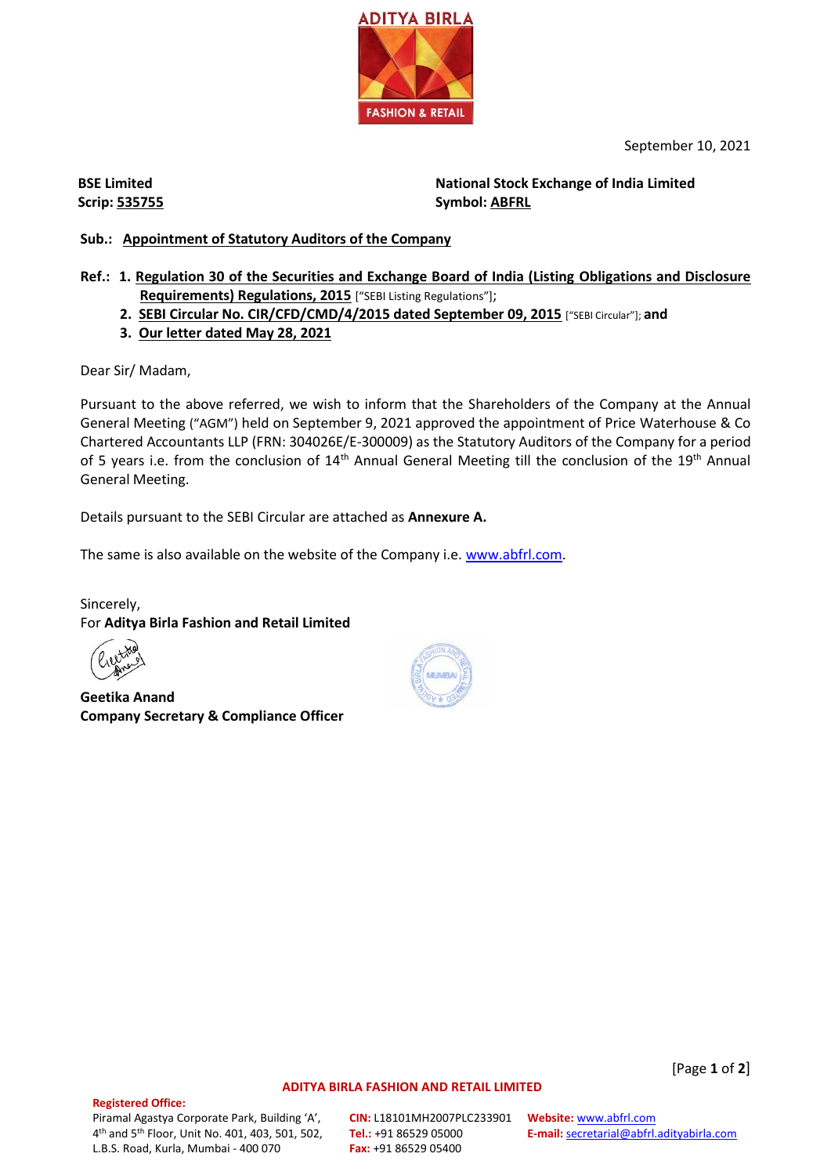

September 10, 2021

**BSE Limited Scrip: 535755** **National Stock Exchange of India Limited Symbol: ABFRL**

### **Sub.: Appointment of Statutory Auditors of the Company**

- **Ref.: 1. Regulation 30 of the Securities and Exchange Board of India (Listing Obligations and Disclosure Requirements) Regulations, 2015** ["SEBI Listing Regulations"];
	- **2. SEBI Circular No. CIR/CFD/CMD/4/2015 dated September 09, 2015** ["SEBI Circular"]; **and**
	- **3. Our letter dated May 28, 2021**

Dear Sir/ Madam,

Pursuant to the above referred, we wish to inform that the Shareholders of the Company at the Annual General Meeting ("AGM") held on September 9, 2021 approved the appointment of Price Waterhouse & Co Chartered Accountants LLP (FRN: 304026E/E-300009) as the Statutory Auditors of the Company for a period of 5 years i.e. from the conclusion of 14<sup>th</sup> Annual General Meeting till the conclusion of the 19<sup>th</sup> Annual General Meeting.

Details pursuant to the SEBI Circular are attached as **Annexure A.**

The same is also available on the website of the Company i.e[. www.abfrl.com.](http://www.abfrl.com/)

Sincerely, For **Aditya Birla Fashion and Retail Limited**

**Geetika Anand Company Secretary & Compliance Officer**



## **Registered Office:**

Piramal Agastya Corporate Park, Building 'A', 4 th and 5th Floor, Unit No. 401, 403, 501, 502, L.B.S. Road, Kurla, Mumbai - 400 070

**CIN:** L18101MH2007PLC233901 **Website:** [www.abfrl.com](http://www.abfrl.com/) **Tel.:** +91 86529 05000 **Fax:** +91 86529 05400

**ADITYA BIRLA FASHION AND RETAIL LIMITED**